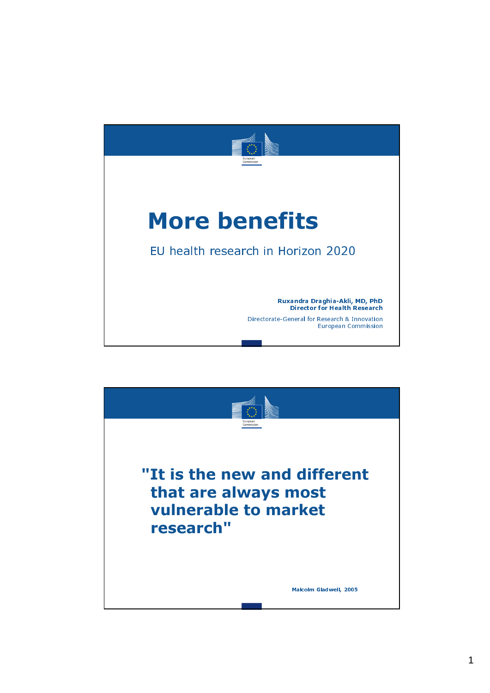

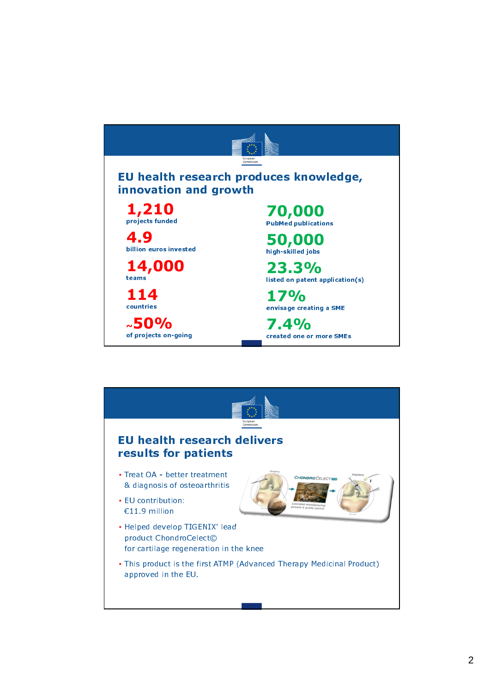

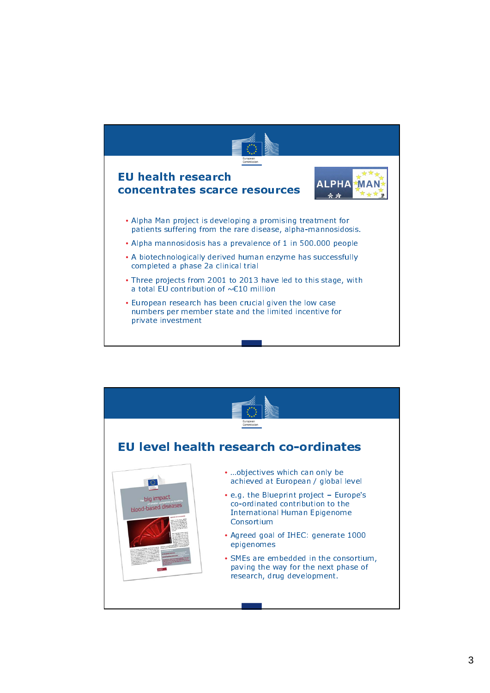

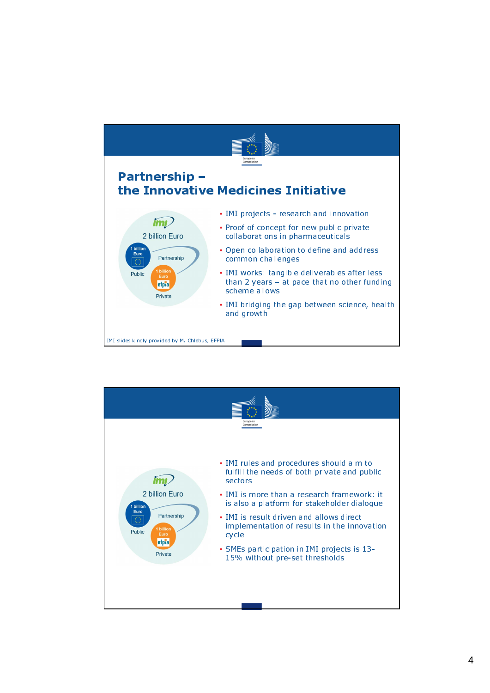

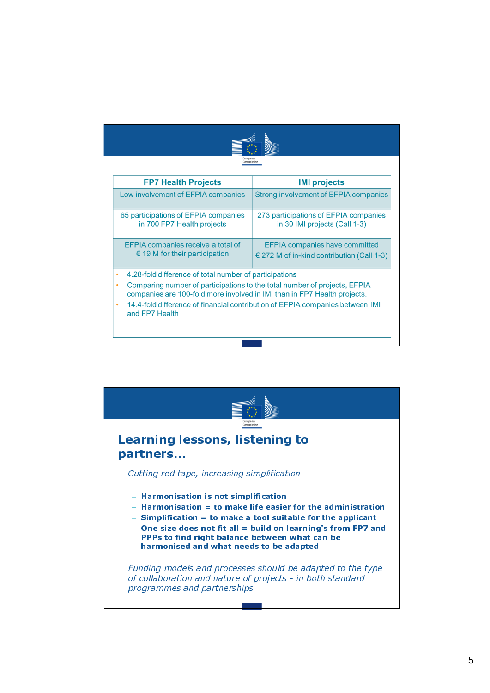| Commission                                                                                                                                                                                                                                          |                                                                                         |
|-----------------------------------------------------------------------------------------------------------------------------------------------------------------------------------------------------------------------------------------------------|-----------------------------------------------------------------------------------------|
| <b>FP7 Health Projects</b>                                                                                                                                                                                                                          | <b>IMI projects</b>                                                                     |
| Low involvement of EFPIA companies                                                                                                                                                                                                                  | Strong involvement of EFPIA companies                                                   |
| 65 participations of EFPIA companies<br>in 700 FP7 Health projects                                                                                                                                                                                  | 273 participations of EFPIA companies<br>in 30 IMI projects (Call 1-3)                  |
| EFPIA companies receive a total of<br>$\epsilon$ 19 M for their participation                                                                                                                                                                       | <b>EFPIA companies have committed</b><br>$\in$ 272 M of in-kind contribution (Call 1-3) |
| 4.28-fold difference of total number of participations<br>Comparing number of participations to the total number of projects, EFPIA<br>٠<br>companies are 100-fold more involved in IMI than in FP7 Health projects.<br>$\bullet$<br>and FP7 Health | 14.4-fold difference of financial contribution of EFPIA companies between IMI           |

![](_page_4_Figure_1.jpeg)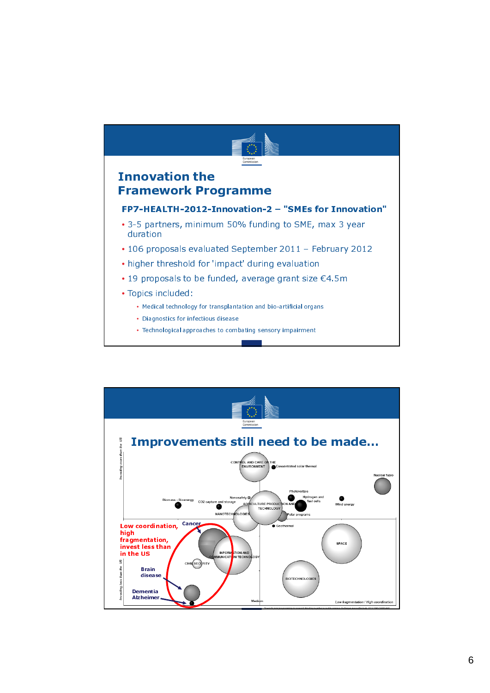![](_page_5_Figure_0.jpeg)

• Technological approaches to combating sensory impairment

![](_page_5_Figure_2.jpeg)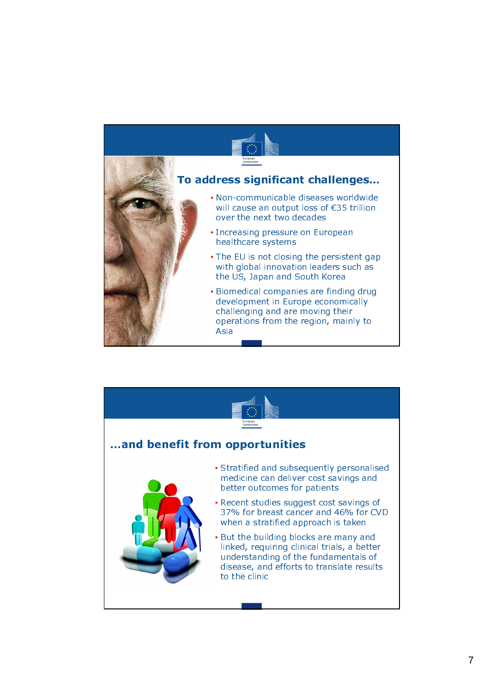![](_page_6_Picture_0.jpeg)

![](_page_6_Figure_1.jpeg)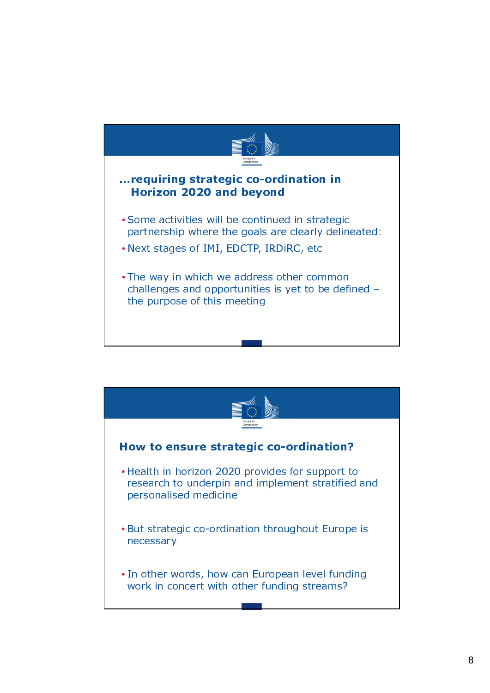![](_page_7_Figure_0.jpeg)

![](_page_7_Figure_1.jpeg)